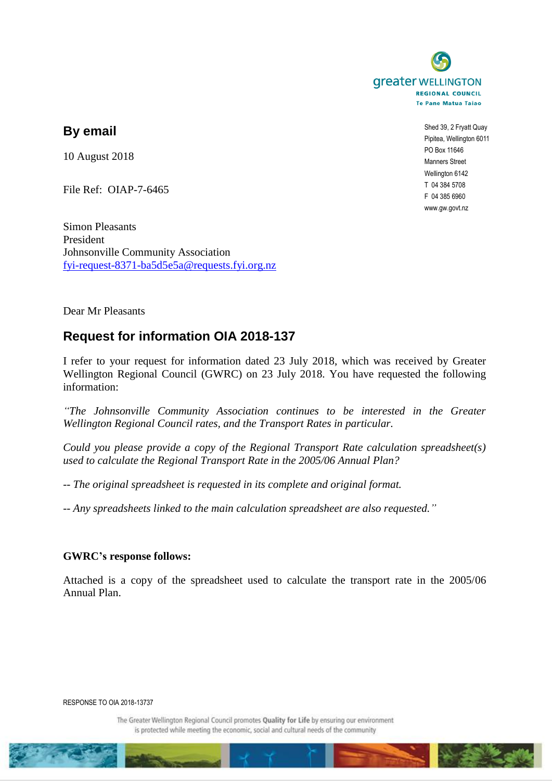

## **By email**

10 August 2018

File Ref: OIAP-7-6465

Simon Pleasants President Johnsonville Community Association [fyi-request-8371-ba5d5e5a@requests.fyi.org.nz](mailto:xxxxxxxxxxxxxxxxxxxxxxxxx@xxxxxxxx.xxx.xxx.xx)

Shed 39, 2 Fryatt Quay Pipitea, Wellington 6011 PO Box 11646 Manners Street Wellington 6142 T 04 384 5708 F 04 385 6960 www.gw.govt.nz

Dear Mr Pleasants

## **Request for information OIA 2018-137**

I refer to your request for information dated 23 July 2018, which was received by Greater Wellington Regional Council (GWRC) on 23 July 2018. You have requested the following information:

*"The Johnsonville Community Association continues to be interested in the Greater Wellington Regional Council rates, and the Transport Rates in particular.*

*Could you please provide a copy of the Regional Transport Rate calculation spreadsheet(s) used to calculate the Regional Transport Rate in the 2005/06 Annual Plan?*

*-- The original spreadsheet is requested in its complete and original format.*

*-- Any spreadsheets linked to the main calculation spreadsheet are also requested."*

## **GWRC's response follows:**

Attached is a copy of the spreadsheet used to calculate the transport rate in the 2005/06 Annual Plan.

RESPONSE TO OIA 2018-13737

The Greater Wellington Regional Council promotes Quality for Life by ensuring our environment is protected while meeting the economic, social and cultural needs of the community